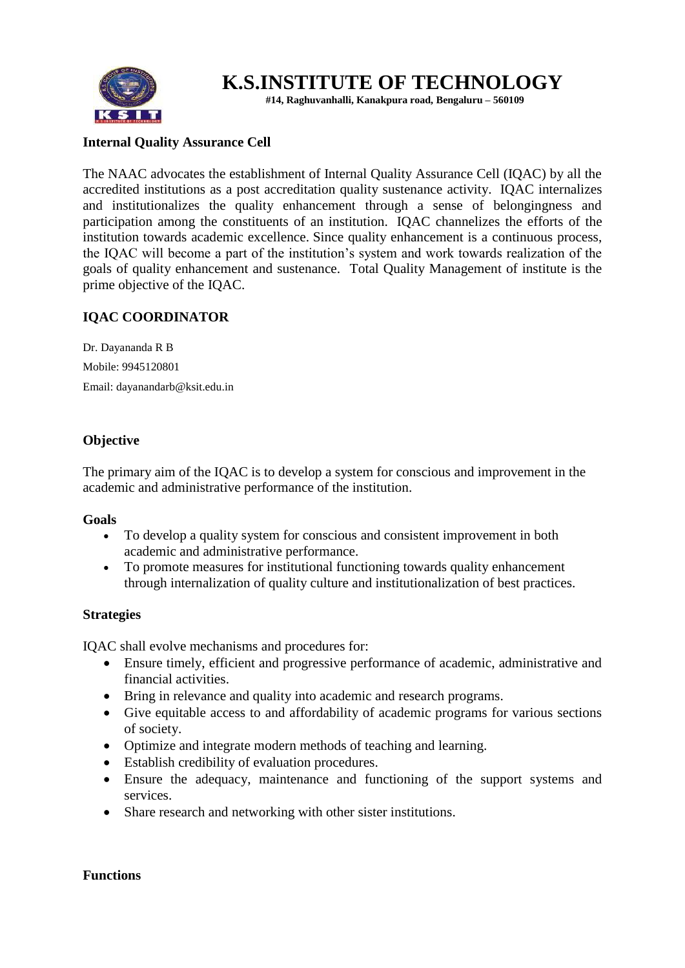

# **K.S.INSTITUTE OF TECHNOLOGY**

 **#14, Raghuvanhalli, Kanakpura road, Bengaluru – 560109**

## **Internal Quality Assurance Cell**

The NAAC advocates the establishment of Internal Quality Assurance Cell (IQAC) by all the accredited institutions as a post accreditation quality sustenance activity. IQAC internalizes and institutionalizes the quality enhancement through a sense of belongingness and participation among the constituents of an institution. IQAC channelizes the efforts of the institution towards academic excellence. Since quality enhancement is a continuous process, the IQAC will become a part of the institution's system and work towards realization of the goals of quality enhancement and sustenance. Total Quality Management of institute is the prime objective of the IQAC.

## **IQAC COORDINATOR**

Dr. Dayananda R B Mobile: 9945120801 Email: dayanandarb@ksit.edu.in

## **Objective**

The primary aim of the IQAC is to develop a system for conscious and improvement in the academic and administrative performance of the institution.

#### **Goals**

- To develop a quality system for conscious and consistent improvement in both academic and administrative performance.
- To promote measures for institutional functioning towards quality enhancement through internalization of quality culture and institutionalization of best practices.

## **Strategies**

IQAC shall evolve mechanisms and procedures for:

- Ensure timely, efficient and progressive performance of academic, administrative and financial activities.
- Bring in relevance and quality into academic and research programs.
- Give equitable access to and affordability of academic programs for various sections of society.
- Optimize and integrate modern methods of teaching and learning.
- Establish credibility of evaluation procedures.
- Ensure the adequacy, maintenance and functioning of the support systems and services.
- Share research and networking with other sister institutions.

#### **Functions**